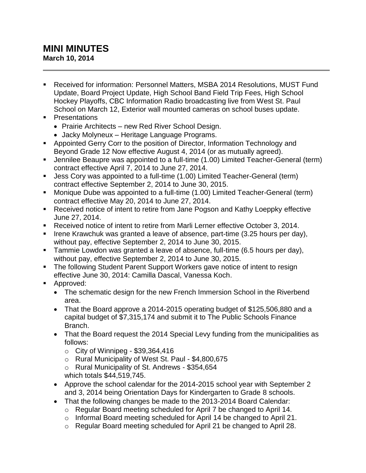## **MINI MINUTES March 10, 2014**

- Received for information: Personnel Matters, MSBA 2014 Resolutions, MUST Fund Update, Board Project Update, High School Band Field Trip Fees, High School Hockey Playoffs, CBC Information Radio broadcasting live from West St. Paul School on March 12, Exterior wall mounted cameras on school buses update.
- **•** Presentations
	- Prairie Architects new Red River School Design.
	- Jacky Molyneux Heritage Language Programs.
- Appointed Gerry Corr to the position of Director, Information Technology and Beyond Grade 12 Now effective August 4, 2014 (or as mutually agreed).
- Jennilee Beaupre was appointed to a full-time (1.00) Limited Teacher-General (term) contract effective April 7, 2014 to June 27, 2014.
- Jess Cory was appointed to a full-time (1.00) Limited Teacher-General (term) contract effective September 2, 2014 to June 30, 2015.
- Monique Dube was appointed to a full-time (1.00) Limited Teacher-General (term) contract effective May 20, 2014 to June 27, 2014.
- Received notice of intent to retire from Jane Pogson and Kathy Loeppky effective June 27, 2014.
- Received notice of intent to retire from Marli Lerner effective October 3, 2014.
- Irene Krawchuk was granted a leave of absence, part-time  $(3.25$  hours per day), without pay, effective September 2, 2014 to June 30, 2015.
- **Tammie Lowdon was granted a leave of absence, full-time (6.5 hours per day),** without pay, effective September 2, 2014 to June 30, 2015.
- The following Student Parent Support Workers gave notice of intent to resign effective June 30, 2014: Camilla Dascal, Vanessa Koch.
- **Approved:** 
	- The schematic design for the new French Immersion School in the Riverbend area.
	- That the Board approve a 2014-2015 operating budget of \$125,506,880 and a capital budget of \$7,315,174 and submit it to The Public Schools Finance Branch.
	- That the Board request the 2014 Special Levy funding from the municipalities as follows:
		- $\circ$  City of Winnipeg \$39,364,416
		- o Rural Municipality of West St. Paul \$4,800,675
		- o Rural Municipality of St. Andrews \$354,654
		- which totals \$44,519,745.
	- Approve the school calendar for the 2014-2015 school year with September 2 and 3, 2014 being Orientation Days for Kindergarten to Grade 8 schools.
	- That the following changes be made to the 2013-2014 Board Calendar:
		- o Regular Board meeting scheduled for April 7 be changed to April 14.
		- o Informal Board meeting scheduled for April 14 be changed to April 21.
		- o Regular Board meeting scheduled for April 21 be changed to April 28.